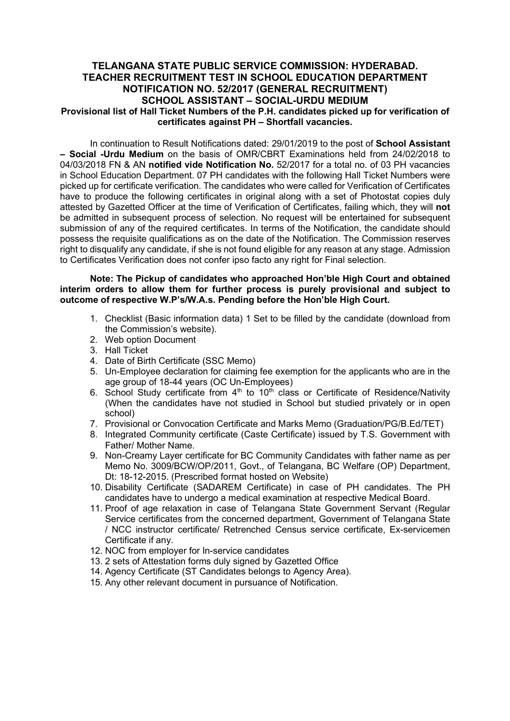## TELANGANA STATE PUBLIC SERVICE COMMISSION: HYDERABAD. TEACHER RECRUITMENT TEST IN SCHOOL EDUCATION DEPARTMENT NOTIFICATION NO. 52/2017 (GENERAL RECRUITMENT) SCHOOL ASSISTANT – SOCIAL-URDU MEDIUM Provisional list of Hall Ticket Numbers of the P.H. candidates picked up for verification of certificates against PH – Shortfall vacancies.

In continuation to Result Notifications dated: 29/01/2019 to the post of School Assistant – Social -Urdu Medium on the basis of OMR/CBRT Examinations held from 24/02/2018 to 04/03/2018 FN & AN notified vide Notification No. 52/2017 for a total no. of 03 PH vacancies in School Education Department. 07 PH candidates with the following Hall Ticket Numbers were picked up for certificate verification. The candidates who were called for Verification of Certificates have to produce the following certificates in original along with a set of Photostat copies duly attested by Gazetted Officer at the time of Verification of Certificates, failing which, they will not be admitted in subsequent process of selection. No request will be entertained for subsequent submission of any of the required certificates. In terms of the Notification, the candidate should possess the requisite qualifications as on the date of the Notification. The Commission reserves right to disqualify any candidate, if she is not found eligible for any reason at any stage. Admission to Certificates Verification does not confer ipso facto any right for Final selection.

## Note: The Pickup of candidates who approached Hon'ble High Court and obtained interim orders to allow them for further process is purely provisional and subject to outcome of respective W.P's/W.A.s. Pending before the Hon'ble High Court.

- 1. Checklist (Basic information data) 1 Set to be filled by the candidate (download from the Commission's website).
- 2. Web option Document
- 3. Hall Ticket
- 4. Date of Birth Certificate (SSC Memo)
- 5. Un-Employee declaration for claiming fee exemption for the applicants who are in the age group of 18-44 years (OC Un-Employees)
- 6. School Study certificate from  $4<sup>th</sup>$  to  $10<sup>th</sup>$  class or Certificate of Residence/Nativity (When the candidates have not studied in School but studied privately or in open school)
- 7. Provisional or Convocation Certificate and Marks Memo (Graduation/PG/B.Ed/TET)
- 8. Integrated Community certificate (Caste Certificate) issued by T.S. Government with Father/ Mother Name.
- 9. Non-Creamy Layer certificate for BC Community Candidates with father name as per Memo No. 3009/BCW/OP/2011, Govt., of Telangana, BC Welfare (OP) Department, Dt: 18-12-2015. (Prescribed format hosted on Website)
- 10. Disability Certificate (SADAREM Certificate) in case of PH candidates. The PH candidates have to undergo a medical examination at respective Medical Board.
- 11. Proof of age relaxation in case of Telangana State Government Servant (Regular Service certificates from the concerned department, Government of Telangana State / NCC instructor certificate/ Retrenched Census service certificate, Ex-servicemen Certificate if any.
- 12. NOC from employer for In-service candidates
- 13. 2 sets of Attestation forms duly signed by Gazetted Office
- 14. Agency Certificate (ST Candidates belongs to Agency Area).
- 15. Any other relevant document in pursuance of Notification.